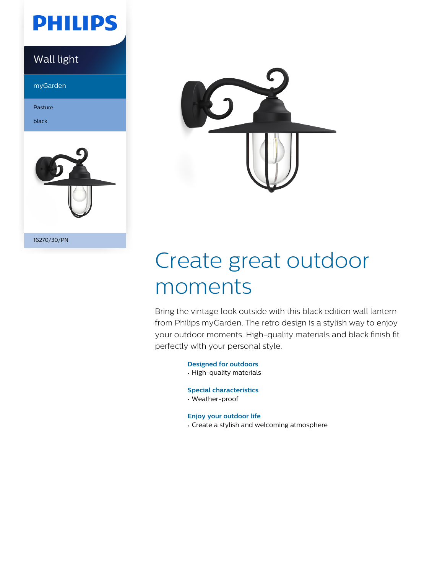

myGarden

Pasture

black



16270/30/PN



# Create great outdoor moments

Bring the vintage look outside with this black edition wall lantern from Philips myGarden. The retro design is a stylish way to enjoy your outdoor moments. High-quality materials and black finish fit perfectly with your personal style.

> **Designed for outdoors** • High-quality materials

**Special characteristics**

• Weather-proof

**Enjoy your outdoor life**

• Create a stylish and welcoming atmosphere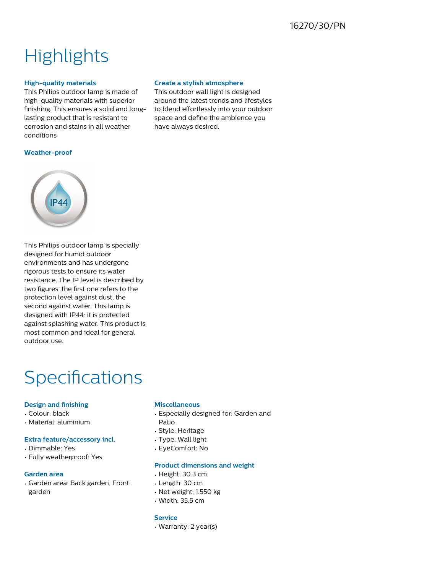## **Highlights**

## **High-quality materials**

This Philips outdoor lamp is made of high-quality materials with superior finishing. This ensures a solid and longlasting product that is resistant to corrosion and stains in all weather conditions

## **Create a stylish atmosphere**

This outdoor wall light is designed around the latest trends and lifestyles to blend effortlessly into your outdoor space and define the ambience you have always desired.

### **Weather-proof**



This Philips outdoor lamp is specially designed for humid outdoor environments and has undergone rigorous tests to ensure its water resistance. The IP level is described by two figures: the first one refers to the protection level against dust, the second against water. This lamp is designed with IP44: it is protected against splashing water. This product is most common and ideal for general outdoor use.

## Specifications

## **Design and finishing**

- Colour: black
- Material: aluminium

## **Extra feature/accessory incl.**

- Dimmable: Yes
- Fully weatherproof: Yes

## **Garden area**

• Garden area: Back garden, Front garden

### **Miscellaneous**

- Especially designed for: Garden and Patio
- Style: Heritage
- Type: Wall light
- EyeComfort: No

### **Product dimensions and weight**

- Height: 30.3 cm
- Length: 30 cm
- Net weight: 1.550 kg
- Width: 35.5 cm

### **Service**

• Warranty: 2 year(s)